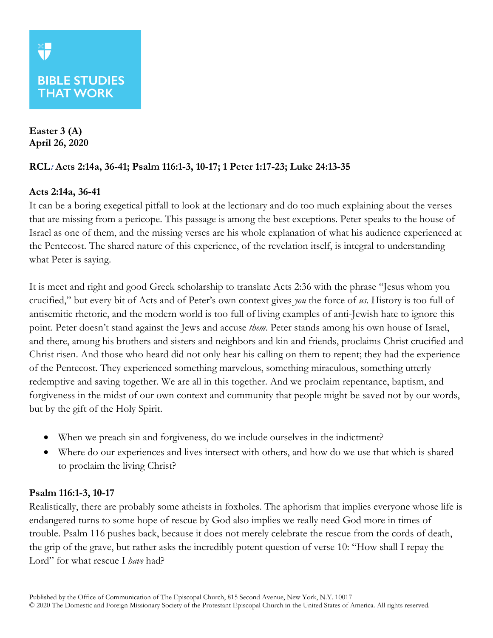# **BIBLE STUDIES THAT WORK**

**Easter 3 (A) April 26, 2020**

# **RCL: Acts 2:14a, 36-41; Psalm 116:1-3, 10-17; 1 Peter 1:17-23; Luke 24:13-35**

## **Acts 2:14a, 36-41**

It can be a boring exegetical pitfall to look at the lectionary and do too much explaining about the verses that are missing from a pericope. This passage is among the best exceptions. Peter speaks to the house of Israel as one of them, and the missing verses are his whole explanation of what his audience experienced at the Pentecost. The shared nature of this experience, of the revelation itself, is integral to understanding what Peter is saying.

It is meet and right and good Greek scholarship to translate Acts 2:36 with the phrase "Jesus whom you crucified," but every bit of Acts and of Peter's own context gives *you* the force of *us*. History is too full of antisemitic rhetoric, and the modern world is too full of living examples of anti-Jewish hate to ignore this point. Peter doesn't stand against the Jews and accuse *them*. Peter stands among his own house of Israel, and there, among his brothers and sisters and neighbors and kin and friends, proclaims Christ crucified and Christ risen. And those who heard did not only hear his calling on them to repent; they had the experience of the Pentecost. They experienced something marvelous, something miraculous, something utterly redemptive and saving together. We are all in this together. And we proclaim repentance, baptism, and forgiveness in the midst of our own context and community that people might be saved not by our words, but by the gift of the Holy Spirit.

- When we preach sin and forgiveness, do we include ourselves in the indictment?
- Where do our experiences and lives intersect with others, and how do we use that which is shared to proclaim the living Christ?

#### **Psalm 116:1-3, 10-17**

Realistically, there are probably some atheists in foxholes. The aphorism that implies everyone whose life is endangered turns to some hope of rescue by God also implies we really need God more in times of trouble. Psalm 116 pushes back, because it does not merely celebrate the rescue from the cords of death, the grip of the grave, but rather asks the incredibly potent question of verse 10: "How shall I repay the Lord" for what rescue I *have* had?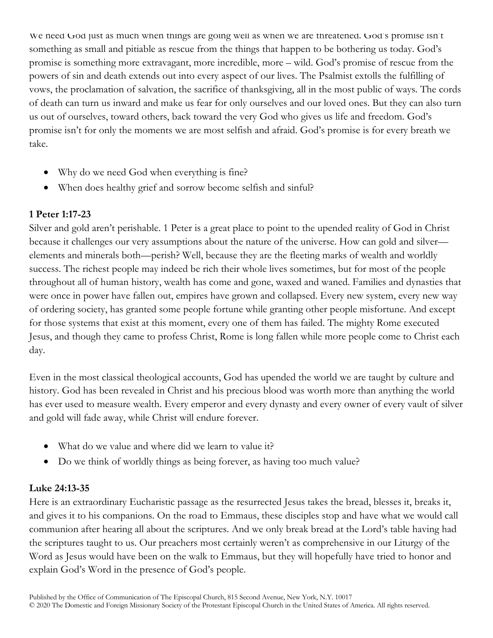We need God just as much when things are going well as when we are threatened. God's promise isn't something as small and pitiable as rescue from the things that happen to be bothering us today. God's promise is something more extravagant, more incredible, more – wild. God's promise of rescue from the powers of sin and death extends out into every aspect of our lives. The Psalmist extolls the fulfilling of vows, the proclamation of salvation, the sacrifice of thanksgiving, all in the most public of ways. The cords of death can turn us inward and make us fear for only ourselves and our loved ones. But they can also turn us out of ourselves, toward others, back toward the very God who gives us life and freedom. God's promise isn't for only the moments we are most selfish and afraid. God's promise is for every breath we take.

- Why do we need God when everything is fine?
- When does healthy grief and sorrow become selfish and sinful?

## **1 Peter 1:17-23**

Silver and gold aren't perishable. 1 Peter is a great place to point to the upended reality of God in Christ because it challenges our very assumptions about the nature of the universe. How can gold and silver elements and minerals both—perish? Well, because they are the fleeting marks of wealth and worldly success. The richest people may indeed be rich their whole lives sometimes, but for most of the people throughout all of human history, wealth has come and gone, waxed and waned. Families and dynasties that were once in power have fallen out, empires have grown and collapsed. Every new system, every new way of ordering society, has granted some people fortune while granting other people misfortune. And except for those systems that exist at this moment, every one of them has failed. The mighty Rome executed Jesus, and though they came to profess Christ, Rome is long fallen while more people come to Christ each day.

Even in the most classical theological accounts, God has upended the world we are taught by culture and history. God has been revealed in Christ and his precious blood was worth more than anything the world has ever used to measure wealth. Every emperor and every dynasty and every owner of every vault of silver and gold will fade away, while Christ will endure forever.

- What do we value and where did we learn to value it?
- Do we think of worldly things as being forever, as having too much value?

#### **Luke 24:13-35**

Here is an extraordinary Eucharistic passage as the resurrected Jesus takes the bread, blesses it, breaks it, and gives it to his companions. On the road to Emmaus, these disciples stop and have what we would call communion after hearing all about the scriptures. And we only break bread at the Lord's table having had the scriptures taught to us. Our preachers most certainly weren't as comprehensive in our Liturgy of the Word as Jesus would have been on the walk to Emmaus, but they will hopefully have tried to honor and explain God's Word in the presence of God's people.